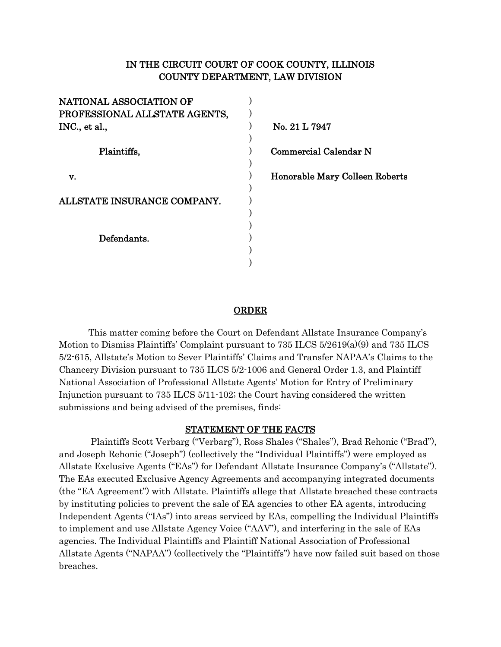# IN THE CIRCUIT COURT OF COOK COUNTY, ILLINOIS COUNTY DEPARTMENT, LAW DIVISION

| NATIONAL ASSOCIATION OF       |                                |
|-------------------------------|--------------------------------|
| PROFESSIONAL ALLSTATE AGENTS, |                                |
| INC., et al.,                 | No. 21 L 7947                  |
|                               |                                |
| Plaintiffs,                   | <b>Commercial Calendar N</b>   |
|                               |                                |
| v.                            | Honorable Mary Colleen Roberts |
|                               |                                |
| ALLSTATE INSURANCE COMPANY.   |                                |
|                               |                                |
|                               |                                |
| Defendants.                   |                                |
|                               |                                |
|                               |                                |

# ORDER

This matter coming before the Court on Defendant Allstate Insurance Company's Motion to Dismiss Plaintiffs' Complaint pursuant to 735 ILCS 5/2619(a)(9) and 735 ILCS 5/2-615, Allstate's Motion to Sever Plaintiffs' Claims and Transfer NAPAA's Claims to the Chancery Division pursuant to 735 ILCS 5/2-1006 and General Order 1.3, and Plaintiff National Association of Professional Allstate Agents' Motion for Entry of Preliminary Injunction pursuant to 735 ILCS 5/11-102; the Court having considered the written submissions and being advised of the premises, finds:

### STATEMENT OF THE FACTS

Plaintiffs Scott Verbarg ("Verbarg"), Ross Shales ("Shales"), Brad Rehonic ("Brad"), and Joseph Rehonic ("Joseph") (collectively the "Individual Plaintiffs") were employed as Allstate Exclusive Agents ("EAs") for Defendant Allstate Insurance Company's ("Allstate"). The EAs executed Exclusive Agency Agreements and accompanying integrated documents (the "EA Agreement") with Allstate. Plaintiffs allege that Allstate breached these contracts by instituting policies to prevent the sale of EA agencies to other EA agents, introducing Independent Agents ("IAs") into areas serviced by EAs, compelling the Individual Plaintiffs to implement and use Allstate Agency Voice ("AAV"), and interfering in the sale of EAs agencies. The Individual Plaintiffs and Plaintiff National Association of Professional Allstate Agents ("NAPAA") (collectively the "Plaintiffs") have now failed suit based on those breaches.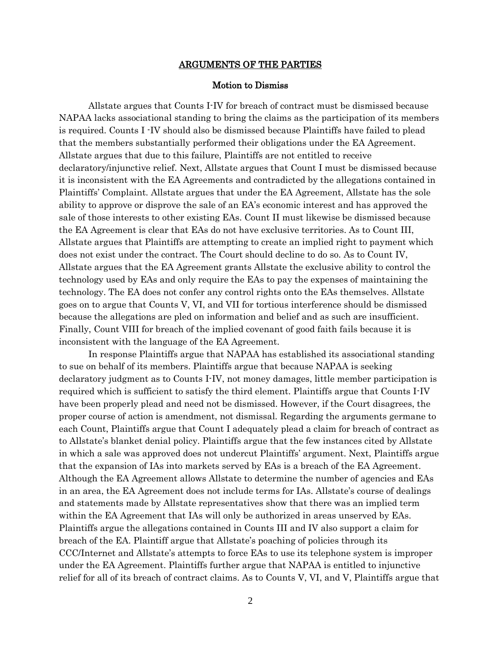#### ARGUMENTS OF THE PARTIES

## Motion to Dismiss

Allstate argues that Counts I-IV for breach of contract must be dismissed because NAPAA lacks associational standing to bring the claims as the participation of its members is required. Counts I -IV should also be dismissed because Plaintiffs have failed to plead that the members substantially performed their obligations under the EA Agreement. Allstate argues that due to this failure, Plaintiffs are not entitled to receive declaratory/injunctive relief. Next, Allstate argues that Count I must be dismissed because it is inconsistent with the EA Agreements and contradicted by the allegations contained in Plaintiffs' Complaint. Allstate argues that under the EA Agreement, Allstate has the sole ability to approve or disprove the sale of an EA's economic interest and has approved the sale of those interests to other existing EAs. Count II must likewise be dismissed because the EA Agreement is clear that EAs do not have exclusive territories. As to Count III, Allstate argues that Plaintiffs are attempting to create an implied right to payment which does not exist under the contract. The Court should decline to do so. As to Count IV, Allstate argues that the EA Agreement grants Allstate the exclusive ability to control the technology used by EAs and only require the EAs to pay the expenses of maintaining the technology. The EA does not confer any control rights onto the EAs themselves. Allstate goes on to argue that Counts V, VI, and VII for tortious interference should be dismissed because the allegations are pled on information and belief and as such are insufficient. Finally, Count VIII for breach of the implied covenant of good faith fails because it is inconsistent with the language of the EA Agreement.

In response Plaintiffs argue that NAPAA has established its associational standing to sue on behalf of its members. Plaintiffs argue that because NAPAA is seeking declaratory judgment as to Counts I-IV, not money damages, little member participation is required which is sufficient to satisfy the third element. Plaintiffs argue that Counts I-IV have been properly plead and need not be dismissed. However, if the Court disagrees, the proper course of action is amendment, not dismissal. Regarding the arguments germane to each Count, Plaintiffs argue that Count I adequately plead a claim for breach of contract as to Allstate's blanket denial policy. Plaintiffs argue that the few instances cited by Allstate in which a sale was approved does not undercut Plaintiffs' argument. Next, Plaintiffs argue that the expansion of IAs into markets served by EAs is a breach of the EA Agreement. Although the EA Agreement allows Allstate to determine the number of agencies and EAs in an area, the EA Agreement does not include terms for IAs. Allstate's course of dealings and statements made by Allstate representatives show that there was an implied term within the EA Agreement that IAs will only be authorized in areas unserved by EAs. Plaintiffs argue the allegations contained in Counts III and IV also support a claim for breach of the EA. Plaintiff argue that Allstate's poaching of policies through its CCC/Internet and Allstate's attempts to force EAs to use its telephone system is improper under the EA Agreement. Plaintiffs further argue that NAPAA is entitled to injunctive relief for all of its breach of contract claims. As to Counts V, VI, and V, Plaintiffs argue that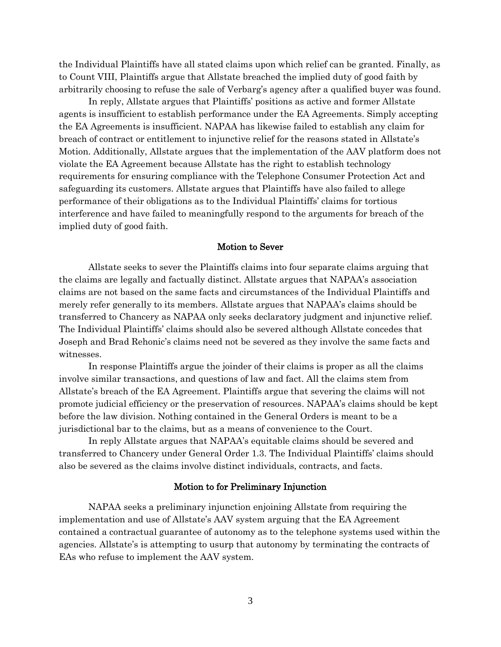the Individual Plaintiffs have all stated claims upon which relief can be granted. Finally, as to Count VIII, Plaintiffs argue that Allstate breached the implied duty of good faith by arbitrarily choosing to refuse the sale of Verbarg's agency after a qualified buyer was found.

In reply, Allstate argues that Plaintiffs' positions as active and former Allstate agents is insufficient to establish performance under the EA Agreements. Simply accepting the EA Agreements is insufficient. NAPAA has likewise failed to establish any claim for breach of contract or entitlement to injunctive relief for the reasons stated in Allstate's Motion. Additionally, Allstate argues that the implementation of the AAV platform does not violate the EA Agreement because Allstate has the right to establish technology requirements for ensuring compliance with the Telephone Consumer Protection Act and safeguarding its customers. Allstate argues that Plaintiffs have also failed to allege performance of their obligations as to the Individual Plaintiffs' claims for tortious interference and have failed to meaningfully respond to the arguments for breach of the implied duty of good faith.

### Motion to Sever

Allstate seeks to sever the Plaintiffs claims into four separate claims arguing that the claims are legally and factually distinct. Allstate argues that NAPAA's association claims are not based on the same facts and circumstances of the Individual Plaintiffs and merely refer generally to its members. Allstate argues that NAPAA's claims should be transferred to Chancery as NAPAA only seeks declaratory judgment and injunctive relief. The Individual Plaintiffs' claims should also be severed although Allstate concedes that Joseph and Brad Rehonic's claims need not be severed as they involve the same facts and witnesses.

In response Plaintiffs argue the joinder of their claims is proper as all the claims involve similar transactions, and questions of law and fact. All the claims stem from Allstate's breach of the EA Agreement. Plaintiffs argue that severing the claims will not promote judicial efficiency or the preservation of resources. NAPAA's claims should be kept before the law division. Nothing contained in the General Orders is meant to be a jurisdictional bar to the claims, but as a means of convenience to the Court.

In reply Allstate argues that NAPAA's equitable claims should be severed and transferred to Chancery under General Order 1.3. The Individual Plaintiffs' claims should also be severed as the claims involve distinct individuals, contracts, and facts.

### Motion to for Preliminary Injunction

NAPAA seeks a preliminary injunction enjoining Allstate from requiring the implementation and use of Allstate's AAV system arguing that the EA Agreement contained a contractual guarantee of autonomy as to the telephone systems used within the agencies. Allstate's is attempting to usurp that autonomy by terminating the contracts of EAs who refuse to implement the AAV system.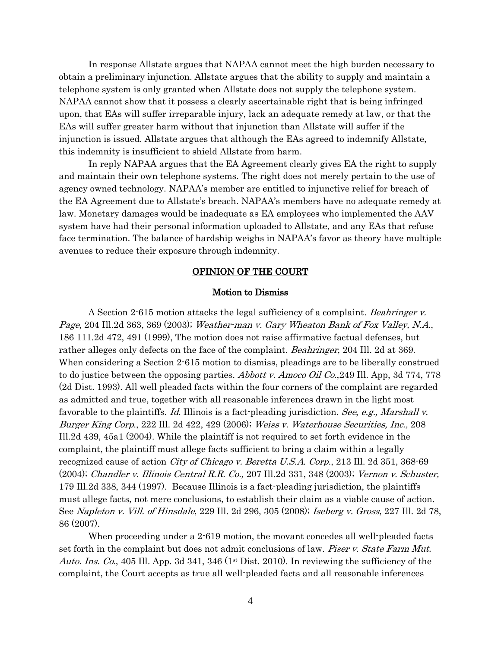In response Allstate argues that NAPAA cannot meet the high burden necessary to obtain a preliminary injunction. Allstate argues that the ability to supply and maintain a telephone system is only granted when Allstate does not supply the telephone system. NAPAA cannot show that it possess a clearly ascertainable right that is being infringed upon, that EAs will suffer irreparable injury, lack an adequate remedy at law, or that the EAs will suffer greater harm without that injunction than Allstate will suffer if the injunction is issued. Allstate argues that although the EAs agreed to indemnify Allstate, this indemnity is insufficient to shield Allstate from harm.

In reply NAPAA argues that the EA Agreement clearly gives EA the right to supply and maintain their own telephone systems. The right does not merely pertain to the use of agency owned technology. NAPAA's member are entitled to injunctive relief for breach of the EA Agreement due to Allstate's breach. NAPAA's members have no adequate remedy at law. Monetary damages would be inadequate as EA employees who implemented the AAV system have had their personal information uploaded to Allstate, and any EAs that refuse face termination. The balance of hardship weighs in NAPAA's favor as theory have multiple avenues to reduce their exposure through indemnity.

# OPINION OF THE COURT

#### Motion to Dismiss

A Section 2-615 motion attacks the legal sufficiency of a complaint. *Beahringer v.* Page, 204 Ill.2d 363, 369 (2003); Weather-man v. Gary Wheaton Bank of Fox Valley, N.A., 186 111.2d 472, 491 (1999), The motion does not raise affirmative factual defenses, but rather alleges only defects on the face of the complaint. Beahringer, 204 Ill. 2d at 369. When considering a Section 2-615 motion to dismiss, pleadings are to be liberally construed to do justice between the opposing parties. Abbott v. Amoco Oil Co., 249 Ill. App, 3d 774, 778 (2d Dist. 1993). All well pleaded facts within the four corners of the complaint are regarded as admitted and true, together with all reasonable inferences drawn in the light most favorable to the plaintiffs. Id. Illinois is a fact-pleading jurisdiction. See, e.g., Marshall v. Burger King Corp., 222 Ill. 2d 422, 429 (2006); Weiss v. Waterhouse Securities, Inc., 208 Ill.2d 439, 45a1 (2004). While the plaintiff is not required to set forth evidence in the complaint, the plaintiff must allege facts sufficient to bring a claim within a legally recognized cause of action City of Chicago v. Beretta U.S.A. Corp., 213 Ill. 2d 351, 368-69 (2004); Chandler v. Illinois Central R.R. Co., 207 Ill.2d 331, 348 (2003); Vernon v. Schuster, 179 Ill.2d 338, 344 (1997). Because Illinois is a fact-pleading jurisdiction, the plaintiffs must allege facts, not mere conclusions, to establish their claim as a viable cause of action. See Napleton v. Vill. of Hinsdale, 229 Ill. 2d 296, 305 (2008); Iseberg v. Gross, 227 Ill. 2d 78, 86 (2007).

When proceeding under a 2-619 motion, the movant concedes all well-pleaded facts set forth in the complaint but does not admit conclusions of law. Piser v. State Farm Mut. Auto. Ins. Co., 405 Ill. App. 3d 341, 346 (1<sup>st</sup> Dist. 2010). In reviewing the sufficiency of the complaint, the Court accepts as true all well-pleaded facts and all reasonable inferences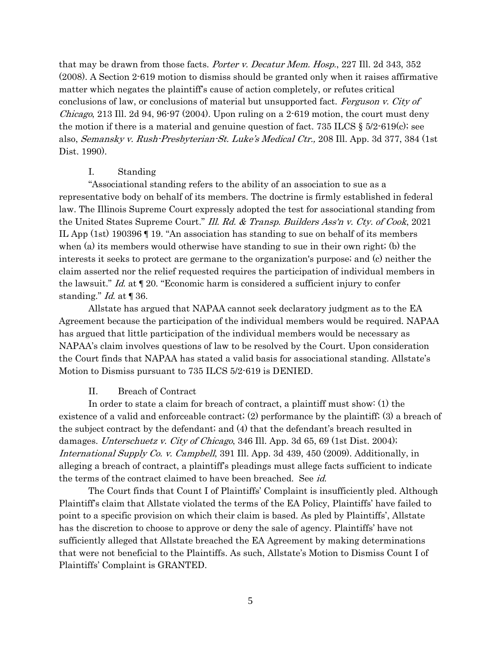that may be drawn from those facts. *Porter v. Decatur Mem. Hosp.*, 227 Ill. 2d 343, 352 (2008). A Section 2-619 motion to dismiss should be granted only when it raises affirmative matter which negates the plaintiff's cause of action completely, or refutes critical conclusions of law, or conclusions of material but unsupported fact. Ferguson v. City of *Chicago*, 213 Ill. 2d 94, 96.97 (2004). Upon ruling on a 2.619 motion, the court must deny the motion if there is a material and genuine question of fact. 735 ILCS  $\S 5/2$ -619(c); see also, Semansky v. Rush-Presbyterian-St. Luke's Medical Ctr., 208 Ill. App. 3d 377, 384 (1st Dist. 1990).

### I. Standing

"Associational standing refers to the ability of an association to sue as a representative body on behalf of its members. The doctrine is firmly established in federal law. The Illinois Supreme Court expressly adopted the test for associational standing from the United States Supreme Court." Ill. Rd. & Transp. Builders Ass'n v. Cty. of Cook, 2021 IL App (1st) 190396 ¶ 19. "An association has standing to sue on behalf of its members when (a) its members would otherwise have standing to sue in their own right; (b) the interests it seeks to protect are germane to the organization's purpose; and (c) neither the claim asserted nor the relief requested requires the participation of individual members in the lawsuit." Id. at  $\P$  20. "Economic harm is considered a sufficient injury to confer standing." *Id.* at  $\llbracket 36$ .

Allstate has argued that NAPAA cannot seek declaratory judgment as to the EA Agreement because the participation of the individual members would be required. NAPAA has argued that little participation of the individual members would be necessary as NAPAA's claim involves questions of law to be resolved by the Court. Upon consideration the Court finds that NAPAA has stated a valid basis for associational standing. Allstate's Motion to Dismiss pursuant to 735 ILCS 5/2-619 is DENIED.

### II. Breach of Contract

In order to state a claim for breach of contract, a plaintiff must show: (1) the existence of a valid and enforceable contract; (2) performance by the plaintiff; (3) a breach of the subject contract by the defendant; and (4) that the defendant's breach resulted in damages. Unterschuetz v. City of Chicago, 346 Ill. App. 3d 65, 69 (1st Dist. 2004); International Supply Co. v. Campbell, 391 Ill. App. 3d 439, 450 (2009). Additionally, in alleging a breach of contract, a plaintiff's pleadings must allege facts sufficient to indicate the terms of the contract claimed to have been breached. See id.

The Court finds that Count I of Plaintiffs' Complaint is insufficiently pled. Although Plaintiff's claim that Allstate violated the terms of the EA Policy, Plaintiffs' have failed to point to a specific provision on which their claim is based. As pled by Plaintiffs', Allstate has the discretion to choose to approve or deny the sale of agency. Plaintiffs' have not sufficiently alleged that Allstate breached the EA Agreement by making determinations that were not beneficial to the Plaintiffs. As such, Allstate's Motion to Dismiss Count I of Plaintiffs' Complaint is GRANTED.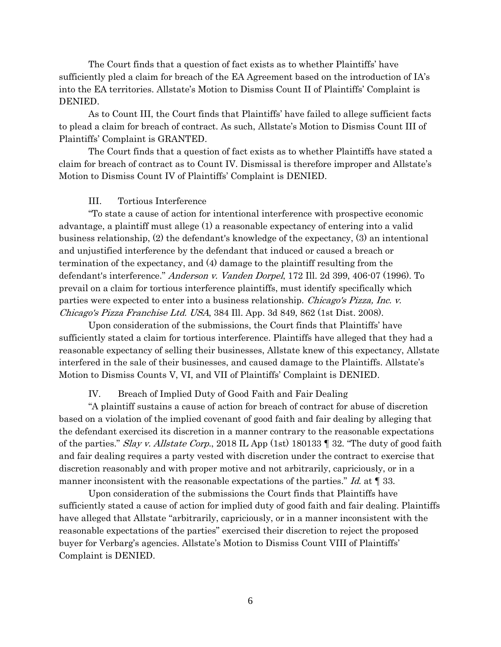The Court finds that a question of fact exists as to whether Plaintiffs' have sufficiently pled a claim for breach of the EA Agreement based on the introduction of IA's into the EA territories. Allstate's Motion to Dismiss Count II of Plaintiffs' Complaint is DENIED.

As to Count III, the Court finds that Plaintiffs' have failed to allege sufficient facts to plead a claim for breach of contract. As such, Allstate's Motion to Dismiss Count III of Plaintiffs' Complaint is GRANTED.

The Court finds that a question of fact exists as to whether Plaintiffs have stated a claim for breach of contract as to Count IV. Dismissal is therefore improper and Allstate's Motion to Dismiss Count IV of Plaintiffs' Complaint is DENIED.

### III. Tortious Interference

"To state a cause of action for intentional interference with prospective economic advantage, a plaintiff must allege (1) a reasonable expectancy of entering into a valid business relationship, (2) the defendant's knowledge of the expectancy, (3) an intentional and unjustified interference by the defendant that induced or caused a breach or termination of the expectancy, and (4) damage to the plaintiff resulting from the defendant's interference." Anderson v. Vanden Dorpel, 172 Ill. 2d 399, 406-07 (1996). To prevail on a claim for tortious interference plaintiffs, must identify specifically which parties were expected to enter into a business relationship. Chicago's Pizza, Inc. v. Chicago's Pizza Franchise Ltd. USA, 384 Ill. App. 3d 849, 862 (1st Dist. 2008).

Upon consideration of the submissions, the Court finds that Plaintiffs' have sufficiently stated a claim for tortious interference. Plaintiffs have alleged that they had a reasonable expectancy of selling their businesses, Allstate knew of this expectancy, Allstate interfered in the sale of their businesses, and caused damage to the Plaintiffs. Allstate's Motion to Dismiss Counts V, VI, and VII of Plaintiffs' Complaint is DENIED.

IV. Breach of Implied Duty of Good Faith and Fair Dealing

"A plaintiff sustains a cause of action for breach of contract for abuse of discretion based on a violation of the implied covenant of good faith and fair dealing by alleging that the defendant exercised its discretion in a manner contrary to the reasonable expectations of the parties." Slay v. Allstate Corp., 2018 IL App (1st) 180133  $\parallel$  32. "The duty of good faith and fair dealing requires a party vested with discretion under the contract to exercise that discretion reasonably and with proper motive and not arbitrarily, capriciously, or in a manner inconsistent with the reasonable expectations of the parties." Id. at  $\P$  33.

Upon consideration of the submissions the Court finds that Plaintiffs have sufficiently stated a cause of action for implied duty of good faith and fair dealing. Plaintiffs have alleged that Allstate "arbitrarily, capriciously, or in a manner inconsistent with the reasonable expectations of the parties" exercised their discretion to reject the proposed buyer for Verbarg's agencies. Allstate's Motion to Dismiss Count VIII of Plaintiffs' Complaint is DENIED.